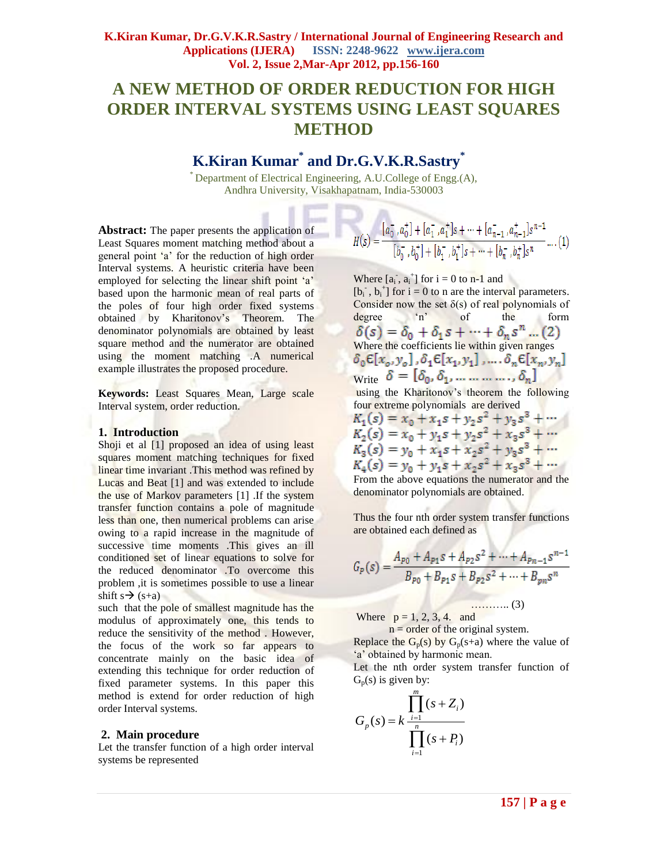# **A NEW METHOD OF ORDER REDUCTION FOR HIGH ORDER INTERVAL SYSTEMS USING LEAST SQUARES METHOD**

# **K.Kiran Kumar\* and Dr.G.V.K.R.Sastry\***

\* Department of Electrical Engineering, A.U.College of Engg.(A), Andhra University, Visakhapatnam, India-530003

л

**Abstract:** The paper presents the application of Least Squares moment matching method about a general point 'a' for the reduction of high order Interval systems. A heuristic criteria have been employed for selecting the linear shift point 'a' based upon the harmonic mean of real parts of the poles of four high order fixed systems obtained by Kharitonov's Theorem. The denominator polynomials are obtained by least square method and the numerator are obtained using the moment matching .A numerical example illustrates the proposed procedure.

**Keywords:** Least Squares Mean, Large scale Interval system, order reduction.

### **1. Introduction**

Shoji et al [1] proposed an idea of using least squares moment matching techniques for fixed linear time invariant .This method was refined by Lucas and Beat [1] and was extended to include the use of Markov parameters [1] .If the system transfer function contains a pole of magnitude less than one, then numerical problems can arise owing to a rapid increase in the magnitude of successive time moments .This gives an ill conditioned set of linear equations to solve for the reduced denominator .To overcome this problem ,it is sometimes possible to use a linear shift s  $\rightarrow$  (s+a)

such that the pole of smallest magnitude has the modulus of approximately one, this tends to reduce the sensitivity of the method . However, the focus of the work so far appears to concentrate mainly on the basic idea of extending this technique for order reduction of fixed parameter systems. In this paper this method is extend for order reduction of high order Interval systems.

#### **2. Main procedure**

Let the transfer function of a high order interval systems be represented

$$
I(s) = \frac{[a_0^-, a_0^+] + [a_1^-, a_1^+]s + \dots + [a_{n-1}^-, a_{n-1}^+]s^{n-1}}{[b_0^-, b_0^+] + [b_1^-, b_1^+]s + \dots + [b_n^-, b_n^+]s^n} \dots (1)
$$

Where  $[a_i, a_i]$  for  $i = 0$  to n-1 and  $[b_i^-, b_i^+]$  for  $i = 0$  to n are the interval parameters. Consider now the set  $\delta(s)$  of real polynomials of degree  $n^s$  of the form degree 'n' of the form Where the coefficients lie within given ranges  $\delta_0 \epsilon[x_o, y_o]$ ,  $\delta_1 \epsilon[x_1, y_1]$ , ...,  $\delta_n \epsilon[x_n, y_n]$ Write  $\delta = [\delta_0, \delta_1, ..., ..., \delta_n]$ using the Kharitonov's theorem the following four extreme polynomials are derived<br>  $K_1(s) = x_0 + x_1s + y_2s^2 + y_3s^3 + \cdots$ <br>  $K_2(s) = x_0 + y_1s + y_2s^2 + x_3s^3 + \cdots$ 

 $K_3(s) = y_0 + x_1 s + x_2 s^2 + y_3 s^3 + \cdots$  $K_4(s) = y_0 + y_1 s + x_2 s^2 + x_3 s^3 + \cdots$ From the above equations the numerator and the

denominator polynomials are obtained.

Thus the four nth order system transfer functions are obtained each defined as

$$
G_P(s) = \frac{A_{P0} + A_{P1} s + A_{P2} s^2 + \dots + A_{Pn-1} s^{n-1}}{B_{P0} + B_{P1} s + B_{P2} s^2 + \dots + B_{pn} s^n}
$$

……….. (3)

Where  $p = 1, 2, 3, 4$ . and

 $n =$  order of the original system. Replace the  $G_p(s)$  by  $G_p(s+a)$  where the value of 'a' obtained by harmonic mean.

Let the nth order system transfer function of  $G_p(s)$  is given by:

$$
G_p(s) = k \frac{\prod_{i=1}^m (s + Z_i)}{\prod_{i=1}^n (s + P_i)}
$$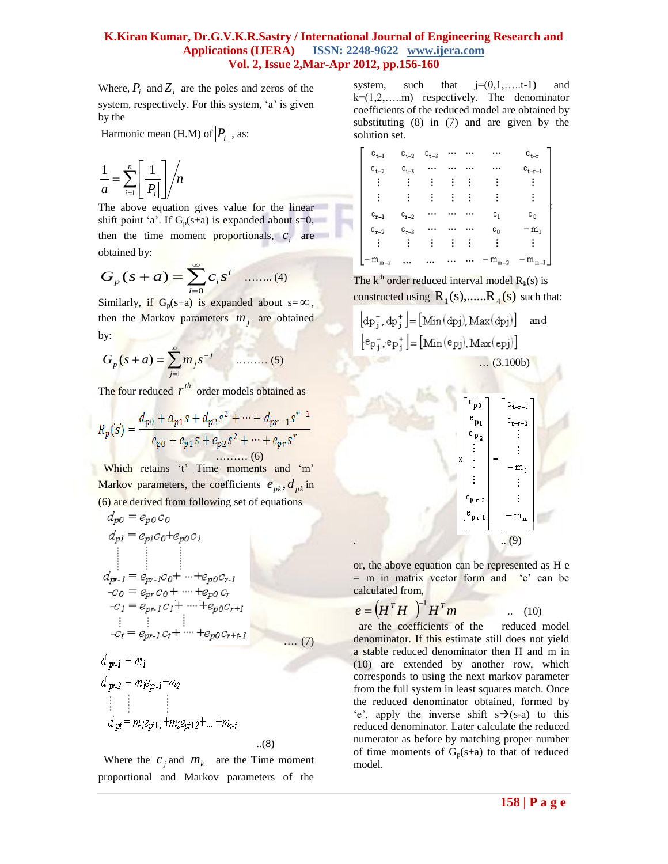## **K.Kiran Kumar, Dr.G.V.K.R.Sastry / International Journal of Engineering Research and Applications (IJERA) ISSN: 2248-9622 www.ijera.com Vol. 2, Issue 2,Mar-Apr 2012, pp.156-160**

Where,  $P_i$  and  $Z_i$  are the poles and zeros of the system, respectively. For this system, 'a' is given by the

Harmonic mean (H.M) of  $|P_i|$ , as:

$$
\frac{1}{a} = \sum_{i=1}^{n} \left[ \frac{1}{|P_i|} \right] / n
$$

The above equation gives value for the linear shift point 'a'. If  $G_p(s+a)$  is expanded about s=0, then the time moment proportionals,  $c_i$  are obtained by:

$$
G_p(s+a) = \sum_{i=0}^{\infty} c_i s^i \quad \dots \dots (4)
$$

Similarly, if  $G_p(s+a)$  is expanded about  $s = \infty$ , then the Markov parameters  $m_j$  are obtained by:

$$
G_p(s+a) = \sum_{j=1}^{\infty} m_j s^{-j} \qquad \qquad (5)
$$

The four reduced  $r^{th}$  order models obtained as

$$
R_p(s) = \frac{d_{p0} + d_{p1}s + d_{p2}s^2 + \dots + d_{pr-1}s^{r-1}}{e_{p0} + e_{p1}s + e_{p2}s^2 + \dots + e_{pr}s^r}
$$
  
........(6)

Which retains 't' Time moments and 'm' Markov parameters, the coefficients  $e_{pk}$ ,  $d_{pk}$  in (6) are derived from following set of equations

$$
d_{p0} = e_{p0} c_0
$$
  
\n
$$
d_{p1} = e_{p1} c_0 + e_{p0} c_1
$$
  
\n
$$
\vdots
$$
  
\n
$$
d_{pr-1} = e_{pr-1} c_0 + \dots + e_{p0} c_{r-1}
$$
  
\n
$$
-c_0 = e_{pr} c_0 + \dots + e_{p0} c_r
$$
  
\n
$$
-c_1 = e_{pr-1} c_1 + \dots + e_{p0} c_{r+1}
$$
  
\n
$$
\vdots
$$
  
\n
$$
-c_t = e_{pr-1} c_t + \dots + e_{p0} c_{r+1}
$$
  
\n
$$
d_{pr-1} = m_1
$$
  
\n
$$
d_{pr-2} = m_1 e_{pr-1} + m_2
$$
  
\n
$$
\vdots
$$
  
\n
$$
d_{pr} = m_1 e_{pr+1} + m_2 e_{pr+2} + \dots + m_{r+1}
$$
  
\n(8)

Where the  $c_j$  and  $m_k$  are the Time moment proportional and Markov parameters of the

system, such that  $j=(0,1,....t-1)$  and  $k=(1,2,...).$  respectively. The denominator coefficients of the reduced model are obtained by substituting (8) in (7) and are given by the solution set.

| $\mathbf{c_{t+1}} = \mathbf{c_{t+2}} \quad \mathbf{c_{t+3}} \quad \cdots \quad \cdots \qquad \cdots$ |  |  |                                                                                                                                                                                                                                                                                                                                                                                                                                              |
|------------------------------------------------------------------------------------------------------|--|--|----------------------------------------------------------------------------------------------------------------------------------------------------------------------------------------------------------------------------------------------------------------------------------------------------------------------------------------------------------------------------------------------------------------------------------------------|
| $\mathbf{c_{t+2}} = \mathbf{c_{t+3}} = \cdots = \cdots = \cdots = \cdots$                            |  |  |                                                                                                                                                                                                                                                                                                                                                                                                                                              |
|                                                                                                      |  |  |                                                                                                                                                                                                                                                                                                                                                                                                                                              |
|                                                                                                      |  |  | $\begin{array}{ccccccccc} c_{t-1} & c_{t-2} & c_{t-3} & \cdots & \cdots & & \cdots & & & c_{t-r} \\ c_{t-2} & c_{t-3} & \cdots & \cdots & \cdots & & \cdots & & & c_{t-r-1} \\ \vdots & \vdots & \vdots & \vdots & \vdots & \vdots & & \vdots & & \vdots \\ c_{r-1} & c_{r-2} & \cdots & \cdots & \cdots & & c_1 & & c_0 \\ c_{r-2} & c_{r-3} & \cdots & \cdots & \cdots & & c_0 & & -m_1 \\ \vdots & \vdots & \vdots & \vdots & \vdots & \$ |
|                                                                                                      |  |  |                                                                                                                                                                                                                                                                                                                                                                                                                                              |
|                                                                                                      |  |  |                                                                                                                                                                                                                                                                                                                                                                                                                                              |
|                                                                                                      |  |  |                                                                                                                                                                                                                                                                                                                                                                                                                                              |
|                                                                                                      |  |  | $-m_{m-r}$ $-m_{m-2}$ $-m_{m-1}$                                                                                                                                                                                                                                                                                                                                                                                                             |

The  $k<sup>th</sup>$  order reduced interval model  $R_k(s)$  is constructed using  $R_1(s), \dots, R_4(s)$  such that:

$$
\begin{bmatrix} dp_j^-, dp_j^+ \end{bmatrix} = [\text{Min}(dpj), \text{Max}(dpj)] \text{ and}
$$

$$
\begin{bmatrix} e_{p_j^-, e_{p_j^+}} \end{bmatrix} = [\text{Min}(epj), \text{Max}(epj)] \quad ...(3.100b)
$$

$$
\begin{bmatrix} e_{p0} \\ e_{p1} \\ e_{p2} \\ \vdots \\ e_{p-2} \\ \vdots \\ e_{p-1} \end{bmatrix} = \begin{bmatrix} e_{t-r-1} \\ e_{t-r-2} \\ \vdots \\ e_{t-r-2} \\ \vdots \\ -m_1 \\ \vdots \\ -m_m \end{bmatrix}
$$

or, the above equation can be represented as H e  $=$  m in matrix vector form and  $'e'$  can be calculated from,

$$
e = \left(H^T H\right)^{-1} H^T m \qquad \qquad \dots \quad (10)
$$

 are the coefficients of the reduced model denominator. If this estimate still does not yield a stable reduced denominator then H and m in (10) are extended by another row, which corresponds to using the next markov parameter from the full system in least squares match. Once the reduced denominator obtained, formed by 'e', apply the inverse shift  $s\rightarrow(s-a)$  to this reduced denominator. Later calculate the reduced numerator as before by matching proper number of time moments of  $G_p(s+a)$  to that of reduced model.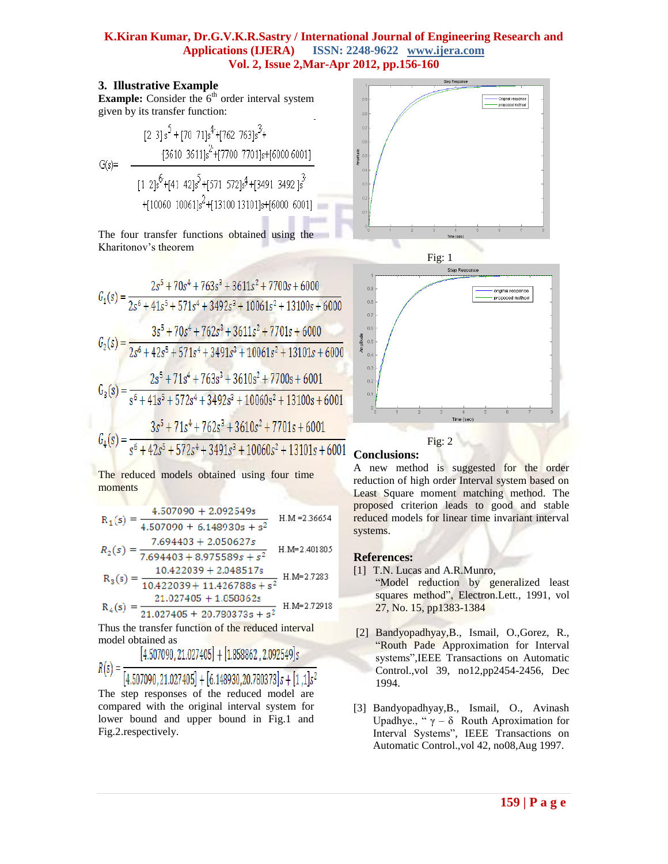## **K.Kiran Kumar, Dr.G.V.K.R.Sastry / International Journal of Engineering Research and Applications (IJERA) ISSN: 2248-9622 www.ijera.com Vol. 2, Issue 2,Mar-Apr 2012, pp.156-160**

Js+[6000 6001]

### **3. Illustrative Example**

**Example:** Consider the  $6<sup>th</sup>$  order interval system given by its transfer function:

$$
G(s) = \frac{\left[2 \ 3\right] s^5 + \left[70 \ 71\right] s^4 + \left[762 \ 763\right] s^3 + \left[3610 \ 3611\right] s^2 + \left[7700 \ 7701\right] s + \left[6000 \ 6001\right]}{\left[1 \ 2\right] s^6 + \left[41 \ 42\right] s^5 + \left[571 \ 572\right] s^4 + \left[3491 \ 3492\right] s^3 + \left[10060 \ 10061\right] s^2 + \left[13100 \ 13101\right] s + \left[6000 \ 6001\right]}
$$

The four transfer functions obtained using the Kharitonov"s theorem

$$
G_1(s) = \frac{2s^5 + 70s^4 + 763s^3 + 3611s^2 + 7700s + 6000}{2s^6 + 41s^5 + 571s^4 + 3492s^3 + 10061s^2 + 13100s + 6000}
$$
  
\n
$$
G_2(s) = \frac{3s^5 + 70s^4 + 762s^3 + 3611s^2 + 7701s + 6000}{2s^6 + 42s^5 + 571s^4 + 3491s^3 + 10061s^2 + 13101s + 6000}
$$
  
\n
$$
G_3(s) = \frac{2s^5 + 71s^4 + 763s^3 + 3610s^2 + 7700s + 6001}{s^6 + 41s^5 + 572s^4 + 3492s^3 + 10060s^2 + 13100s + 6001}
$$
  
\n
$$
G_4(s) = \frac{3s^5 + 71s^4 + 762s^3 + 3610s^2 + 7701s + 6001}{s^6 + 42s^5 + 572s^4 + 3491s^3 + 10060s^2 + 13101s + 6001}
$$

The reduced models obtained using four time moments

$$
R_1(s) = \frac{4.507090 + 2.092549s}{4.507090 + 6.148930s + s^2}
$$
 H.M = 2.36654

$$
R_2(s) = \frac{7.694403 + 2.050627s}{7.694403 + 8.975589s + s^2}
$$
 H.M=2.401803

$$
R_3(s) = \frac{10.422039 + 2.048517s}{10.422039 + 11.426788s + s^2}
$$
H.M=2.7283  

$$
R_3(s) = \frac{21.027405 + 1.050062s}{1.027405 + 1.050062s}
$$
H-M=2.72918

$$
R_4(s) = \frac{1}{21.027405 + 20.780373s + s^2}
$$
 H.M=2.72918

Thus the transfer function of the reduced interval model obtained as

$$
= \frac{[4.507090, 21.027405] + [1.858862, 2.092549]s}{[4.507000, 21.027405] + [4.42000, 21.020254] + [4.40000, 21.020254] + [4.40000, 21.020254] + [4.40000, 21.020254] + [4.40000, 21.020254] + [4.40000, 21.020254] + [4.40000, 21.020254] + [4.40000, 21.020254] + [4.40000, 21.020254] + [4.40000, 21.020254] + [4.40000, 21.020254] + [4.40000, 21.020254] + [4.40000, 21.020254] + [4.40000, 21.020254] + [4.40000, 21.020254] + [4.40000, 21.020254] + [4.40000, 21.020254] + [4.40000, 21.020254] + [4.40000, 21.020254] + [4.40000, 21.020254] + [4.40000, 21.020254] + [4.40000, 21.020254] + [4.40000, 21.020254] + [4.40000, 21.020254] + [4.40000, 21.020254] + [4.40000, 21.020254] + [4.40000, 21.020254] + [4.40000, 21.020254] + [4.40000, 21.020254] + [4.40000, 21.020254] + [4.40000, 21.020254] + [4.40000, 21.020254] + [4.40000, 21.0202
$$

 $R(s)$ 

 $[4.507090, 21.027405] + [6.148930, 20.780373]s + [1,1]s<sup>2</sup>$ The step responses of the reduced model are compared with the original interval system for lower bound and upper bound in Fig.1 and Fig.2.respectively.







## **Conclusions:**

A new method is suggested for the order reduction of high order Interval system based on Least Square moment matching method. The proposed criterion leads to good and stable reduced models for linear time invariant interval systems.

#### **References:**

- [1] T.N. Lucas and A.R.Munro,
	- "Model reduction by generalized least squares method", Electron.Lett., 1991, vol 27, No. 15, pp1383-1384
- [2] Bandyopadhyay,B., Ismail, O.,Gorez, R., "Routh Pade Approximation for Interval systems",IEEE Transactions on Automatic Control.,vol 39, no12,pp2454-2456, Dec 1994.
- [3] Bandyopadhyay,B., Ismail, O., Avinash Upadhye., "  $\gamma - \delta$  Routh Aproximation for Interval Systems", IEEE Transactions on Automatic Control.,vol 42, no08,Aug 1997.